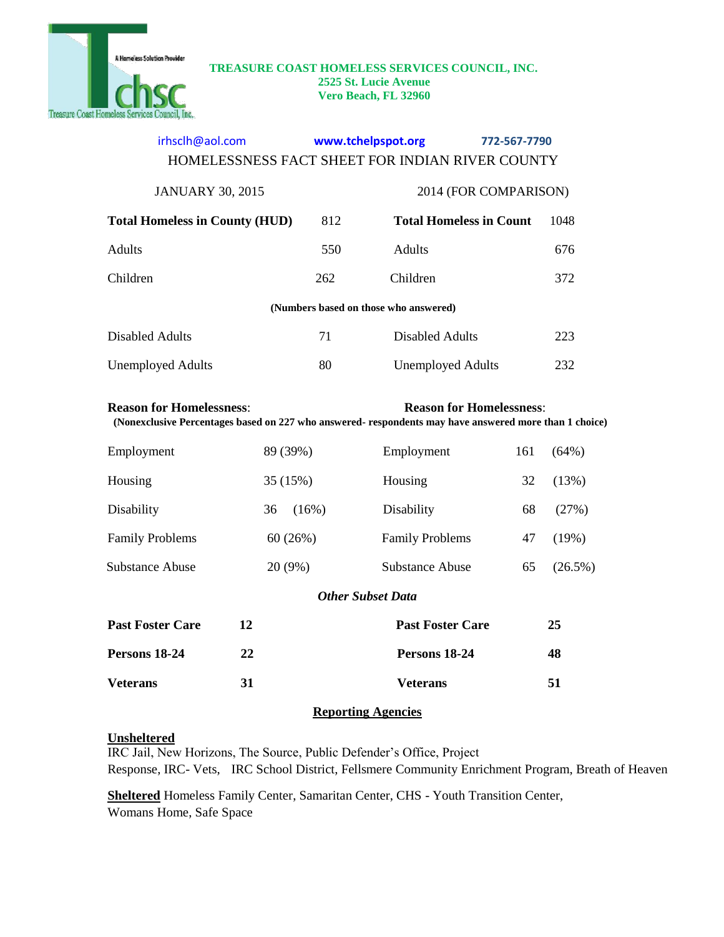

#### **TREASURE COAST HOMELESS SERVICES COUNCIL, INC. 2525 St. Lucie Avenue Vero Beach, FL 32960**

# [irhsclh@aol.com](mailto:irhsclh@aol.com) **[www.tchelpspot.org](http://www.tchelpspot.org/) 772-567-7790** HOMELESSNESS FACT SHEET FOR INDIAN RIVER COUNTY

| <b>JANUARY 30, 2015</b>                                                                                                                                                      |          | 2014 (FOR COMPARISON)          |       |  |  |  |
|------------------------------------------------------------------------------------------------------------------------------------------------------------------------------|----------|--------------------------------|-------|--|--|--|
| <b>Total Homeless in County (HUD)</b>                                                                                                                                        | 812      | <b>Total Homeless in Count</b> | 1048  |  |  |  |
| <b>Adults</b>                                                                                                                                                                | 550      | <b>Adults</b>                  | 676   |  |  |  |
| Children                                                                                                                                                                     | 262      | Children                       | 372   |  |  |  |
| (Numbers based on those who answered)                                                                                                                                        |          |                                |       |  |  |  |
| Disabled Adults                                                                                                                                                              | 71       | Disabled Adults                | 223   |  |  |  |
| <b>Unemployed Adults</b>                                                                                                                                                     | 80       | <b>Unemployed Adults</b>       | 232   |  |  |  |
| <b>Reason for Homelessness:</b><br><b>Reason for Homelessness:</b><br>(Nonexclusive Percentages based on 227 who answered- respondents may have answered more than 1 choice) |          |                                |       |  |  |  |
| Employment                                                                                                                                                                   | 89 (39%) | Employment<br>161              | (64%) |  |  |  |
| Housing                                                                                                                                                                      | 35 (15%) | Housing<br>32                  | (13%) |  |  |  |

| 1100                   | 201101         | 110001116              |    | $U = 1000$ |
|------------------------|----------------|------------------------|----|------------|
| Disability             | $(16\%)$<br>36 | Disability             | 68 | (27%)      |
| <b>Family Problems</b> | 60(26%)        | <b>Family Problems</b> | 47 | $(19\%)$   |
| Substance Abuse        | $20(9\%)$      | Substance Abuse        | 65 | $(26.5\%)$ |

### *Other Subset Data*

| <b>Past Foster Care</b> | 12 | <b>Past Foster Care</b> | 25 |
|-------------------------|----|-------------------------|----|
| Persons 18-24           | 22 | Persons 18-24           | 48 |
| <b>Veterans</b>         | 31 | <b>Veterans</b>         | 51 |

# **Reporting Agencies**

## **Unsheltered**

IRC Jail, New Horizons, The Source, Public Defender's Office, Project Response, IRC- Vets, IRC School District, Fellsmere Community Enrichment Program, Breath of Heaven

**Sheltered** Homeless Family Center, Samaritan Center, CHS - Youth Transition Center, Womans Home, Safe Space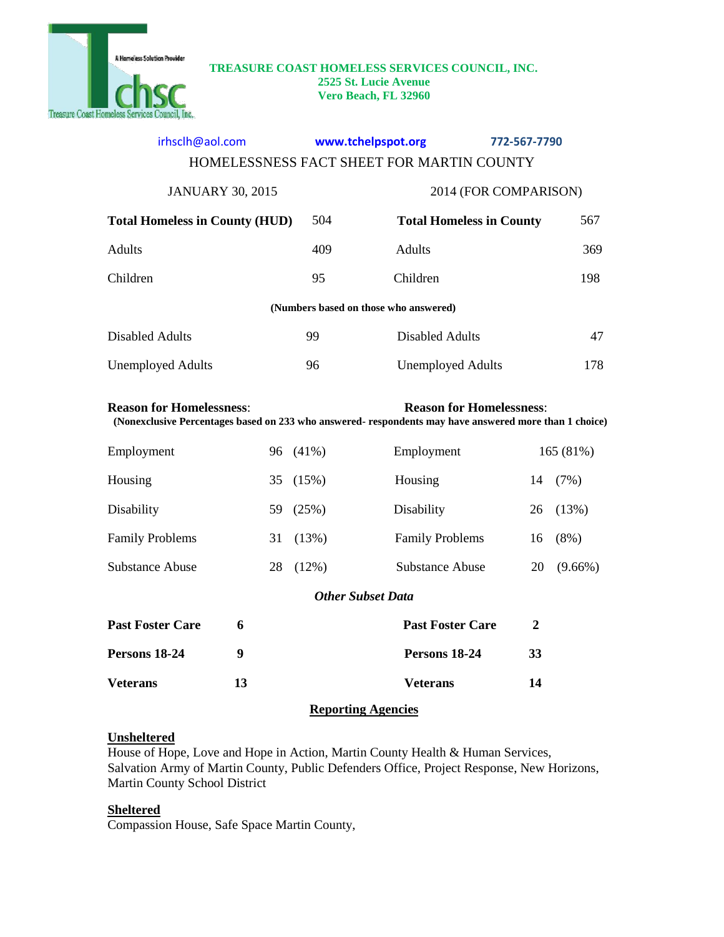

#### **TREASURE COAST HOMELESS SERVICES COUNCIL, INC. 2525 St. Lucie Avenue Vero Beach, FL 32960**

| irhsclh@aol.com<br>www.tchelpspot.org<br>772-567-7790<br>HOMELESSNESS FACT SHEET FOR MARTIN COUNTY                                                                           |                         |          |                                       |                       |            |  |
|------------------------------------------------------------------------------------------------------------------------------------------------------------------------------|-------------------------|----------|---------------------------------------|-----------------------|------------|--|
|                                                                                                                                                                              | <b>JANUARY 30, 2015</b> |          |                                       | 2014 (FOR COMPARISON) |            |  |
| <b>Total Homeless in County (HUD)</b>                                                                                                                                        |                         | 504      | <b>Total Homeless in County</b>       |                       | 567        |  |
| <b>Adults</b>                                                                                                                                                                |                         | 409      | <b>Adults</b>                         |                       | 369        |  |
| Children                                                                                                                                                                     |                         | 95       | Children                              |                       | 198        |  |
|                                                                                                                                                                              |                         |          | (Numbers based on those who answered) |                       |            |  |
| <b>Disabled Adults</b>                                                                                                                                                       |                         | 99       | <b>Disabled Adults</b>                |                       | 47         |  |
| <b>Unemployed Adults</b>                                                                                                                                                     |                         | 96       | <b>Unemployed Adults</b>              |                       | 178        |  |
| <b>Reason for Homelessness:</b><br><b>Reason for Homelessness:</b><br>(Nonexclusive Percentages based on 233 who answered- respondents may have answered more than 1 choice) |                         |          |                                       |                       |            |  |
| Employment                                                                                                                                                                   | 96                      | $(41\%)$ | Employment                            |                       | 165 (81%)  |  |
| Housing                                                                                                                                                                      | 35                      | (15%)    | Housing                               | 14                    | (7%)       |  |
| Disability                                                                                                                                                                   | 59                      | (25%)    | Disability                            | 26                    | (13%)      |  |
| <b>Family Problems</b>                                                                                                                                                       | 31                      | (13%)    | <b>Family Problems</b>                | 16                    | (8%)       |  |
| <b>Substance Abuse</b>                                                                                                                                                       | 28                      | (12%)    | <b>Substance Abuse</b>                | 20                    | $(9.66\%)$ |  |
| <b>Other Subset Data</b>                                                                                                                                                     |                         |          |                                       |                       |            |  |
| <b>Past Foster Care</b>                                                                                                                                                      | 6                       |          | <b>Past Foster Care</b>               | 2                     |            |  |
| Persons 18-24                                                                                                                                                                | 9                       |          | Persons 18-24                         | 33                    |            |  |
| <b>Veterans</b>                                                                                                                                                              | 13                      |          | <b>Veterans</b>                       | 14                    |            |  |
| <b>Reporting Agencies</b>                                                                                                                                                    |                         |          |                                       |                       |            |  |

## **Unsheltered**

House of Hope, Love and Hope in Action, Martin County Health & Human Services, Salvation Army of Martin County, Public Defenders Office, Project Response, New Horizons, Martin County School District

## **Sheltered**

Compassion House, Safe Space Martin County,